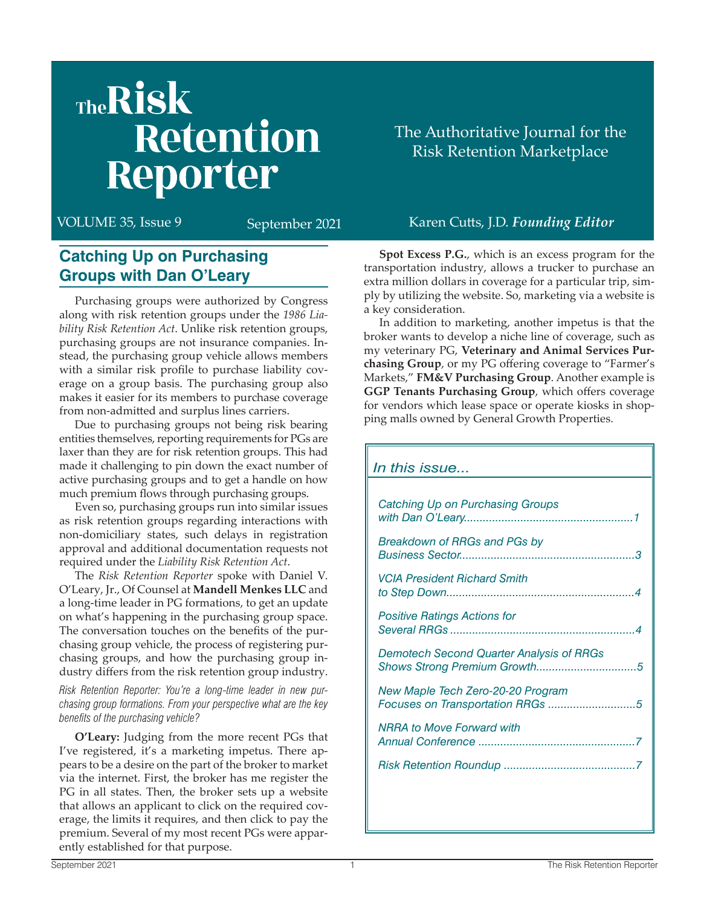# TheRisk **Retention** Reporter

#### **Catching Up on Purchasing Groups with Dan O'Leary**

Purchasing groups were authorized by Congress along with risk retention groups under the *1986 Liability Risk Retention Act*. Unlike risk retention groups, purchasing groups are not insurance companies. Instead, the purchasing group vehicle allows members with a similar risk profile to purchase liability coverage on a group basis. The purchasing group also makes it easier for its members to purchase coverage from non-admitted and surplus lines carriers.

Due to purchasing groups not being risk bearing entities themselves, reporting requirements for PGs are laxer than they are for risk retention groups. This had made it challenging to pin down the exact number of active purchasing groups and to get a handle on how much premium flows through purchasing groups.

Even so, purchasing groups run into similar issues as risk retention groups regarding interactions with non-domiciliary states, such delays in registration approval and additional documentation requests not required under the *Liability Risk Retention Act*.

The *Risk Retention Reporter* spoke with Daniel V. O'Leary, Jr., Of Counsel at **Mandell Menkes LLC** and a long-time leader in PG formations, to get an update on what's happening in the purchasing group space. The conversation touches on the benefits of the purchasing group vehicle, the process of registering purchasing groups, and how the purchasing group industry differs from the risk retention group industry.

*Risk Retention Reporter: You're a long-time leader in new purchasing group formations. From your perspective what are the key benefits of the purchasing vehicle?*

**O'Leary:** Judging from the more recent PGs that I've registered, it's a marketing impetus. There appears to be a desire on the part of the broker to market via the internet. First, the broker has me register the PG in all states. Then, the broker sets up a website that allows an applicant to click on the required coverage, the limits it requires, and then click to pay the premium. Several of my most recent PGs were apparently established for that purpose.

The Authoritative Journal for the Risk Retention Marketplace

#### VOLUME 35, Issue 9 September 2021 Karen Cutts, J.D. *Founding Editor*

**Spot Excess P.G.**, which is an excess program for the transportation industry, allows a trucker to purchase an extra million dollars in coverage for a particular trip, simply by utilizing the website. So, marketing via a website is a key consideration.

In addition to marketing, another impetus is that the broker wants to develop a niche line of coverage, such as my veterinary PG, **Veterinary and Animal Services Purchasing Group**, or my PG offering coverage to "Farmer's Markets," **FM&V Purchasing Group**. Another example is **GGP Tenants Purchasing Group**, which offers coverage for vendors which lease space or operate kiosks in shopping malls owned by General Growth Properties.

| In this issue                                   |
|-------------------------------------------------|
|                                                 |
| <b>Catching Up on Purchasing Groups</b>         |
| <b>Breakdown of RRGs and PGs by</b>             |
| <b>VCIA President Richard Smith</b>             |
| <b>Positive Ratings Actions for</b>             |
| <b>Demotech Second Quarter Analysis of RRGs</b> |
| New Maple Tech Zero-20-20 Program               |
| <b>NRRA to Move Forward with</b>                |
|                                                 |
|                                                 |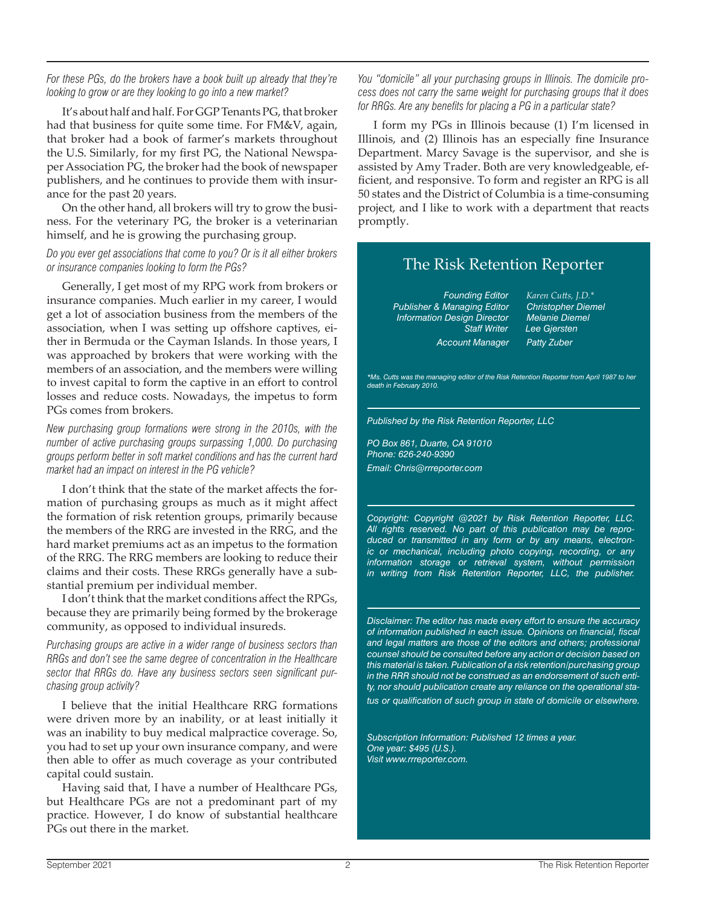#### *For these PGs, do the brokers have a book built up already that they're looking to grow or are they looking to go into a new market?*

It's about half and half. For GGP Tenants PG, that broker had that business for quite some time. For FM&V, again, that broker had a book of farmer's markets throughout the U.S. Similarly, for my first PG, the National Newspaper Association PG, the broker had the book of newspaper publishers, and he continues to provide them with insurance for the past 20 years.

On the other hand, all brokers will try to grow the business. For the veterinary PG, the broker is a veterinarian himself, and he is growing the purchasing group.

#### *Do you ever get associations that come to you? Or is it all either brokers or insurance companies looking to form the PGs?*

Generally, I get most of my RPG work from brokers or insurance companies. Much earlier in my career, I would get a lot of association business from the members of the association, when I was setting up offshore captives, either in Bermuda or the Cayman Islands. In those years, I was approached by brokers that were working with the members of an association, and the members were willing to invest capital to form the captive in an effort to control losses and reduce costs. Nowadays, the impetus to form PGs comes from brokers.

*New purchasing group formations were strong in the 2010s, with the number of active purchasing groups surpassing 1,000. Do purchasing groups perform better in soft market conditions and has the current hard market had an impact on interest in the PG vehicle?*

I don't think that the state of the market affects the formation of purchasing groups as much as it might affect the formation of risk retention groups, primarily because the members of the RRG are invested in the RRG, and the hard market premiums act as an impetus to the formation of the RRG. The RRG members are looking to reduce their claims and their costs. These RRGs generally have a substantial premium per individual member.

I don't think that the market conditions affect the RPGs, because they are primarily being formed by the brokerage community, as opposed to individual insureds.

*Purchasing groups are active in a wider range of business sectors than RRGs and don't see the same degree of concentration in the Healthcare sector that RRGs do. Have any business sectors seen significant purchasing group activity?*

I believe that the initial Healthcare RRG formations were driven more by an inability, or at least initially it was an inability to buy medical malpractice coverage. So, you had to set up your own insurance company, and were then able to offer as much coverage as your contributed capital could sustain.

Having said that, I have a number of Healthcare PGs, but Healthcare PGs are not a predominant part of my practice. However, I do know of substantial healthcare PGs out there in the market.

*You "domicile" all your purchasing groups in Illinois. The domicile process does not carry the same weight for purchasing groups that it does for RRGs. Are any benefits for placing a PG in a particular state?*

I form my PGs in Illinois because (1) I'm licensed in Illinois, and (2) Illinois has an especially fine Insurance Department. Marcy Savage is the supervisor, and she is assisted by Amy Trader. Both are very knowledgeable, efficient, and responsive. To form and register an RPG is all 50 states and the District of Columbia is a time-consuming project, and I like to work with a department that reacts promptly.

#### The Risk Retention Reporter

*Publisher & Managing Editor Information Design Director Melanie Diemel Account Manager Patty Zuber*

 *Founding Editor Karen Cutts, J.D.\* Staff Writer Lee Gjersten*

*\*Ms. Cutts was the managing editor of the Risk Retention Reporter from April 1987 to her death in February 2010.*

*Published by the Risk Retention Reporter, LLC* 

*PO Box 861, Duarte, CA 91010 Phone: 626-240-9390 Email: Chris@rrreporter.com*

*Copyright: Copyright @2021 by Risk Retention Reporter, LLC. All rights reserved. No part of this publication may be reproduced or transmitted in any form or by any means, electronic or mechanical, including photo copying, recording, or any information storage or retrieval system, without permission in writing from Risk Retention Reporter, LLC, the publisher.*

*Disclaimer: The editor has made every effort to ensure the accuracy of information published in each issue. Opinions on financial, fiscal and legal matters are those of the editors and others; professional counsel should be consulted before any action or decision based on this material is taken. Publication of a risk retention/purchasing group in the RRR should not be construed as an endorsement of such entity, nor should publication create any reliance on the operational status or qualification of such group in state of domicile or elsewhere.*

*Subscription Information: Published 12 times a year. One year: \$495 (U.S.). Visit www.rrreporter.com.*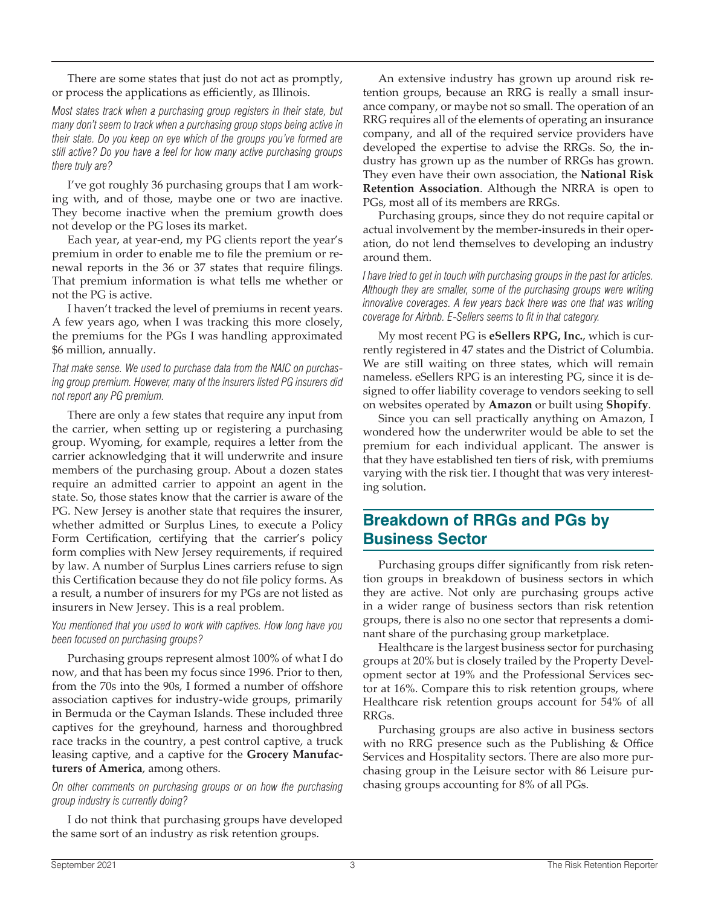There are some states that just do not act as promptly, or process the applications as efficiently, as Illinois.

*Most states track when a purchasing group registers in their state, but many don't seem to track when a purchasing group stops being active in their state. Do you keep on eye which of the groups you've formed are still active? Do you have a feel for how many active purchasing groups there truly are?*

I've got roughly 36 purchasing groups that I am working with, and of those, maybe one or two are inactive. They become inactive when the premium growth does not develop or the PG loses its market.

Each year, at year-end, my PG clients report the year's premium in order to enable me to file the premium or renewal reports in the 36 or 37 states that require filings. That premium information is what tells me whether or not the PG is active.

I haven't tracked the level of premiums in recent years. A few years ago, when I was tracking this more closely, the premiums for the PGs I was handling approximated \$6 million, annually.

*That make sense. We used to purchase data from the NAIC on purchasing group premium. However, many of the insurers listed PG insurers did not report any PG premium.*

There are only a few states that require any input from the carrier, when setting up or registering a purchasing group. Wyoming, for example, requires a letter from the carrier acknowledging that it will underwrite and insure members of the purchasing group. About a dozen states require an admitted carrier to appoint an agent in the state. So, those states know that the carrier is aware of the PG. New Jersey is another state that requires the insurer, whether admitted or Surplus Lines, to execute a Policy Form Certification, certifying that the carrier's policy form complies with New Jersey requirements, if required by law. A number of Surplus Lines carriers refuse to sign this Certification because they do not file policy forms. As a result, a number of insurers for my PGs are not listed as insurers in New Jersey. This is a real problem.

*You mentioned that you used to work with captives. How long have you been focused on purchasing groups?*

Purchasing groups represent almost 100% of what I do now, and that has been my focus since 1996. Prior to then, from the 70s into the 90s, I formed a number of offshore association captives for industry-wide groups, primarily in Bermuda or the Cayman Islands. These included three captives for the greyhound, harness and thoroughbred race tracks in the country, a pest control captive, a truck leasing captive, and a captive for the **Grocery Manufacturers of America**, among others.

#### *On other comments on purchasing groups or on how the purchasing group industry is currently doing?*

I do not think that purchasing groups have developed the same sort of an industry as risk retention groups.

An extensive industry has grown up around risk retention groups, because an RRG is really a small insurance company, or maybe not so small. The operation of an RRG requires all of the elements of operating an insurance company, and all of the required service providers have developed the expertise to advise the RRGs. So, the industry has grown up as the number of RRGs has grown. They even have their own association, the **National Risk Retention Association**. Although the NRRA is open to PGs, most all of its members are RRGs.

Purchasing groups, since they do not require capital or actual involvement by the member-insureds in their operation, do not lend themselves to developing an industry around them.

*I have tried to get in touch with purchasing groups in the past for articles. Although they are smaller, some of the purchasing groups were writing innovative coverages. A few years back there was one that was writing coverage for Airbnb. E-Sellers seems to fit in that category.*

My most recent PG is **eSellers RPG, Inc.**, which is currently registered in 47 states and the District of Columbia. We are still waiting on three states, which will remain nameless. eSellers RPG is an interesting PG, since it is designed to offer liability coverage to vendors seeking to sell on websites operated by **Amazon** or built using **Shopify**.

Since you can sell practically anything on Amazon, I wondered how the underwriter would be able to set the premium for each individual applicant. The answer is that they have established ten tiers of risk, with premiums varying with the risk tier. I thought that was very interesting solution.

#### **Breakdown of RRGs and PGs by Business Sector**

Purchasing groups differ significantly from risk retention groups in breakdown of business sectors in which they are active. Not only are purchasing groups active in a wider range of business sectors than risk retention groups, there is also no one sector that represents a dominant share of the purchasing group marketplace.

Healthcare is the largest business sector for purchasing groups at 20% but is closely trailed by the Property Development sector at 19% and the Professional Services sector at 16%. Compare this to risk retention groups, where Healthcare risk retention groups account for 54% of all RRGs.

Purchasing groups are also active in business sectors with no RRG presence such as the Publishing & Office Services and Hospitality sectors. There are also more purchasing group in the Leisure sector with 86 Leisure purchasing groups accounting for 8% of all PGs.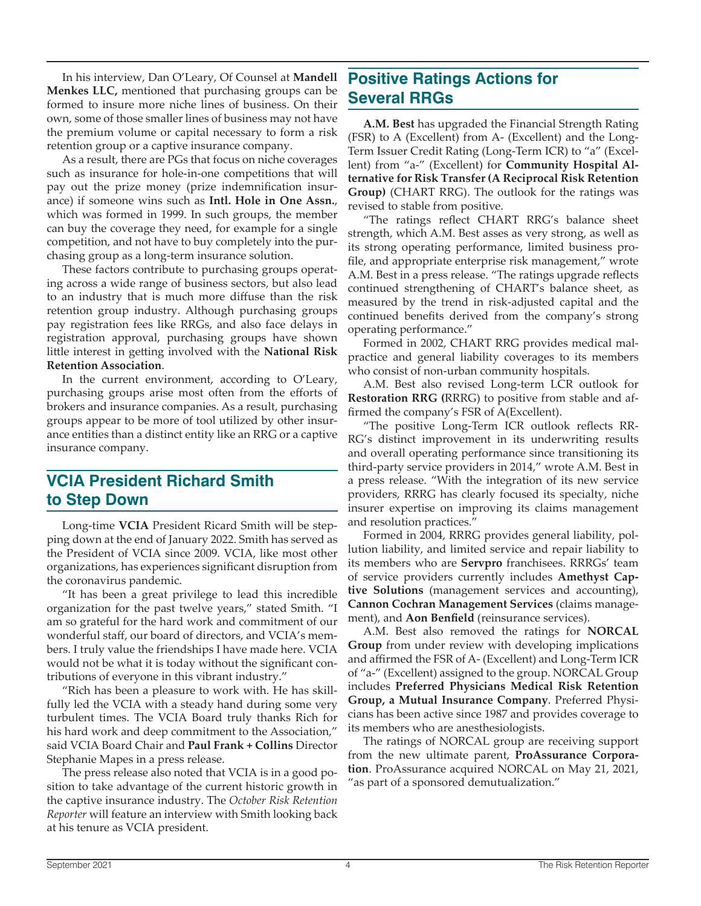In his interview, Dan O'Leary, Of Counsel at **Mandell Menkes LLC,** mentioned that purchasing groups can be formed to insure more niche lines of business. On their own, some of those smaller lines of business may not have the premium volume or capital necessary to form a risk retention group or a captive insurance company.

As a result, there are PGs that focus on niche coverages such as insurance for hole-in-one competitions that will pay out the prize money (prize indemnification insurance) if someone wins such as **Intl. Hole in One Assn.**, which was formed in 1999. In such groups, the member can buy the coverage they need, for example for a single competition, and not have to buy completely into the purchasing group as a long-term insurance solution.

These factors contribute to purchasing groups operating across a wide range of business sectors, but also lead to an industry that is much more diffuse than the risk retention group industry. Although purchasing groups pay registration fees like RRGs, and also face delays in registration approval, purchasing groups have shown little interest in getting involved with the **National Risk Retention Association**.

In the current environment, according to O'Leary, purchasing groups arise most often from the efforts of brokers and insurance companies. As a result, purchasing groups appear to be more of tool utilized by other insurance entities than a distinct entity like an RRG or a captive insurance company.

#### **VCIA President Richard Smith to Step Down**

Long-time **VCIA** President Ricard Smith will be stepping down at the end of January 2022. Smith has served as the President of VCIA since 2009. VCIA, like most other organizations, has experiences significant disruption from the coronavirus pandemic.

"It has been a great privilege to lead this incredible organization for the past twelve years," stated Smith. "I am so grateful for the hard work and commitment of our wonderful staff, our board of directors, and VCIA's members. I truly value the friendships I have made here. VCIA would not be what it is today without the significant contributions of everyone in this vibrant industry."

"Rich has been a pleasure to work with. He has skillfully led the VCIA with a steady hand during some very turbulent times. The VCIA Board truly thanks Rich for his hard work and deep commitment to the Association," said VCIA Board Chair and **Paul Frank + Collins** Director Stephanie Mapes in a press release.

The press release also noted that VCIA is in a good position to take advantage of the current historic growth in the captive insurance industry. The *October Risk Retention Reporter* will feature an interview with Smith looking back at his tenure as VCIA president.

#### **Positive Ratings Actions for Several RRGs**

**A.M. Best** has upgraded the Financial Strength Rating (FSR) to A (Excellent) from A- (Excellent) and the Long-Term Issuer Credit Rating (Long-Term ICR) to "a" (Excellent) from "a-" (Excellent) for **Community Hospital Alternative for Risk Transfer (A Reciprocal Risk Retention Group)** (CHART RRG). The outlook for the ratings was revised to stable from positive.

"The ratings reflect CHART RRG's balance sheet strength, which A.M. Best asses as very strong, as well as its strong operating performance, limited business profile, and appropriate enterprise risk management," wrote A.M. Best in a press release. "The ratings upgrade reflects continued strengthening of CHART's balance sheet, as measured by the trend in risk-adjusted capital and the continued benefits derived from the company's strong operating performance."

Formed in 2002, CHART RRG provides medical malpractice and general liability coverages to its members who consist of non-urban community hospitals.

A.M. Best also revised Long-term LCR outlook for **Restoration RRG (**RRRG) to positive from stable and affirmed the company's FSR of A(Excellent).

"The positive Long-Term ICR outlook reflects RR-RG's distinct improvement in its underwriting results and overall operating performance since transitioning its third-party service providers in 2014," wrote A.M. Best in a press release. "With the integration of its new service providers, RRRG has clearly focused its specialty, niche insurer expertise on improving its claims management and resolution practices."

Formed in 2004, RRRG provides general liability, pollution liability, and limited service and repair liability to its members who are **Servpro** franchisees. RRRGs' team of service providers currently includes **Amethyst Captive Solutions** (management services and accounting), **Cannon Cochran Management Services** (claims management), and **Aon Benfield** (reinsurance services).

A.M. Best also removed the ratings for **NORCAL Group** from under review with developing implications and affirmed the FSR of A- (Excellent) and Long-Term ICR of "a-" (Excellent) assigned to the group. NORCAL Group includes **Preferred Physicians Medical Risk Retention Group, a Mutual Insurance Company**. Preferred Physicians has been active since 1987 and provides coverage to its members who are anesthesiologists.

The ratings of NORCAL group are receiving support from the new ultimate parent, **ProAssurance Corporation**. ProAssurance acquired NORCAL on May 21, 2021, "as part of a sponsored demutualization."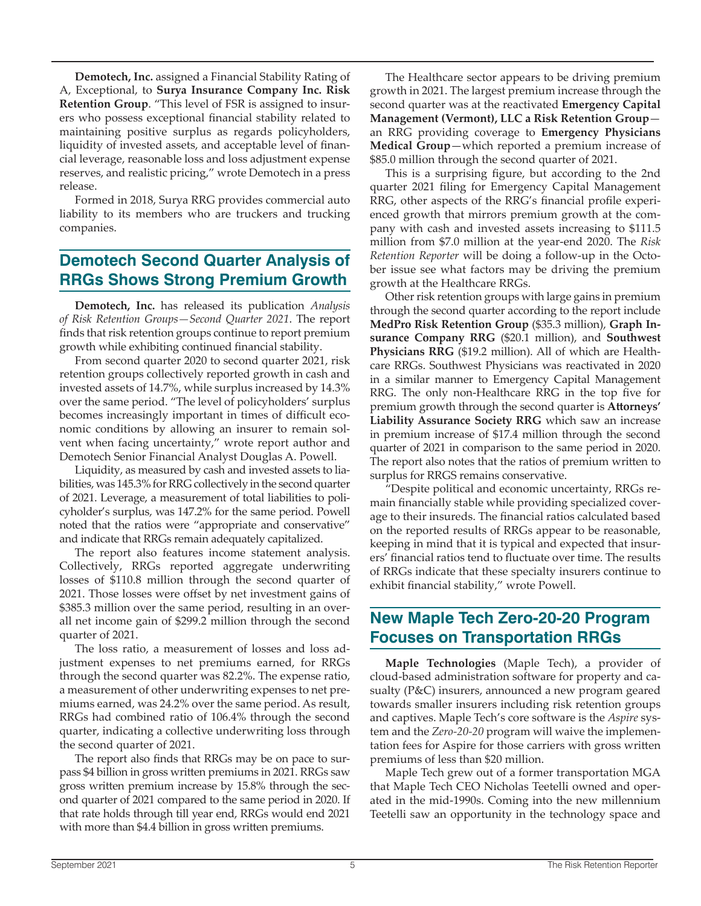**Demotech, Inc.** assigned a Financial Stability Rating of A, Exceptional, to **Surya Insurance Company Inc. Risk Retention Group**. "This level of FSR is assigned to insurers who possess exceptional financial stability related to maintaining positive surplus as regards policyholders, liquidity of invested assets, and acceptable level of financial leverage, reasonable loss and loss adjustment expense reserves, and realistic pricing," wrote Demotech in a press release.

Formed in 2018, Surya RRG provides commercial auto liability to its members who are truckers and trucking companies.

### **Demotech Second Quarter Analysis of RRGs Shows Strong Premium Growth**

**Demotech, Inc.** has released its publication *Analysis of Risk Retention Groups—Second Quarter 2021*. The report finds that risk retention groups continue to report premium growth while exhibiting continued financial stability.

From second quarter 2020 to second quarter 2021, risk retention groups collectively reported growth in cash and invested assets of 14.7%, while surplus increased by 14.3% over the same period. "The level of policyholders' surplus becomes increasingly important in times of difficult economic conditions by allowing an insurer to remain solvent when facing uncertainty," wrote report author and Demotech Senior Financial Analyst Douglas A. Powell.

Liquidity, as measured by cash and invested assets to liabilities, was 145.3% for RRG collectively in the second quarter of 2021. Leverage, a measurement of total liabilities to policyholder's surplus, was 147.2% for the same period. Powell noted that the ratios were "appropriate and conservative" and indicate that RRGs remain adequately capitalized.

The report also features income statement analysis. Collectively, RRGs reported aggregate underwriting losses of \$110.8 million through the second quarter of 2021. Those losses were offset by net investment gains of \$385.3 million over the same period, resulting in an overall net income gain of \$299.2 million through the second quarter of 2021.

The loss ratio, a measurement of losses and loss adjustment expenses to net premiums earned, for RRGs through the second quarter was 82.2%. The expense ratio, a measurement of other underwriting expenses to net premiums earned, was 24.2% over the same period. As result, RRGs had combined ratio of 106.4% through the second quarter, indicating a collective underwriting loss through the second quarter of 2021.

The report also finds that RRGs may be on pace to surpass \$4 billion in gross written premiums in 2021. RRGs saw gross written premium increase by 15.8% through the second quarter of 2021 compared to the same period in 2020. If that rate holds through till year end, RRGs would end 2021 with more than \$4.4 billion in gross written premiums.

The Healthcare sector appears to be driving premium growth in 2021. The largest premium increase through the second quarter was at the reactivated **Emergency Capital Management (Vermont), LLC a Risk Retention Group** an RRG providing coverage to **Emergency Physicians Medical Group**—which reported a premium increase of \$85.0 million through the second quarter of 2021.

This is a surprising figure, but according to the 2nd quarter 2021 filing for Emergency Capital Management RRG, other aspects of the RRG's financial profile experienced growth that mirrors premium growth at the company with cash and invested assets increasing to \$111.5 million from \$7.0 million at the year-end 2020. The *Risk Retention Reporter* will be doing a follow-up in the October issue see what factors may be driving the premium growth at the Healthcare RRGs.

Other risk retention groups with large gains in premium through the second quarter according to the report include **MedPro Risk Retention Group** (\$35.3 million), **Graph Insurance Company RRG** (\$20.1 million), and **Southwest Physicians RRG** (\$19.2 million). All of which are Healthcare RRGs. Southwest Physicians was reactivated in 2020 in a similar manner to Emergency Capital Management RRG. The only non-Healthcare RRG in the top five for premium growth through the second quarter is **Attorneys' Liability Assurance Society RRG** which saw an increase in premium increase of \$17.4 million through the second quarter of 2021 in comparison to the same period in 2020. The report also notes that the ratios of premium written to surplus for RRGS remains conservative.

"Despite political and economic uncertainty, RRGs remain financially stable while providing specialized coverage to their insureds. The financial ratios calculated based on the reported results of RRGs appear to be reasonable, keeping in mind that it is typical and expected that insurers' financial ratios tend to fluctuate over time. The results of RRGs indicate that these specialty insurers continue to exhibit financial stability," wrote Powell.

#### **New Maple Tech Zero-20-20 Program Focuses on Transportation RRGs**

**Maple Technologies** (Maple Tech), a provider of cloud-based administration software for property and casualty (P&C) insurers, announced a new program geared towards smaller insurers including risk retention groups and captives. Maple Tech's core software is the *Aspire* system and the *Zero-20-20* program will waive the implementation fees for Aspire for those carriers with gross written premiums of less than \$20 million.

Maple Tech grew out of a former transportation MGA that Maple Tech CEO Nicholas Teetelli owned and operated in the mid-1990s. Coming into the new millennium Teetelli saw an opportunity in the technology space and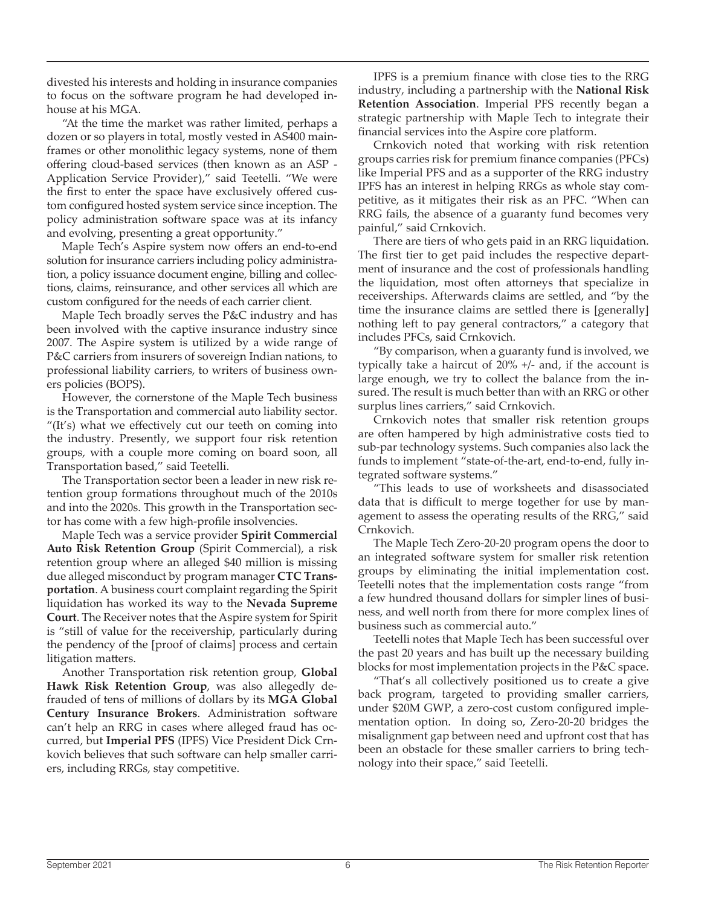divested his interests and holding in insurance companies to focus on the software program he had developed inhouse at his MGA.

"At the time the market was rather limited, perhaps a dozen or so players in total, mostly vested in AS400 mainframes or other monolithic legacy systems, none of them offering cloud-based services (then known as an ASP - Application Service Provider)," said Teetelli. "We were the first to enter the space have exclusively offered custom configured hosted system service since inception. The policy administration software space was at its infancy and evolving, presenting a great opportunity."

Maple Tech's Aspire system now offers an end-to-end solution for insurance carriers including policy administration, a policy issuance document engine, billing and collections, claims, reinsurance, and other services all which are custom configured for the needs of each carrier client.

Maple Tech broadly serves the P&C industry and has been involved with the captive insurance industry since 2007. The Aspire system is utilized by a wide range of P&C carriers from insurers of sovereign Indian nations, to professional liability carriers, to writers of business owners policies (BOPS).

However, the cornerstone of the Maple Tech business is the Transportation and commercial auto liability sector. "(It's) what we effectively cut our teeth on coming into the industry. Presently, we support four risk retention groups, with a couple more coming on board soon, all Transportation based," said Teetelli.

The Transportation sector been a leader in new risk retention group formations throughout much of the 2010s and into the 2020s. This growth in the Transportation sector has come with a few high-profile insolvencies.

Maple Tech was a service provider **Spirit Commercial Auto Risk Retention Group** (Spirit Commercial), a risk retention group where an alleged \$40 million is missing due alleged misconduct by program manager **CTC Transportation**. A business court complaint regarding the Spirit liquidation has worked its way to the **Nevada Supreme Court**. The Receiver notes that the Aspire system for Spirit is "still of value for the receivership, particularly during the pendency of the [proof of claims] process and certain litigation matters.

Another Transportation risk retention group, **Global Hawk Risk Retention Group**, was also allegedly defrauded of tens of millions of dollars by its **MGA Global Century Insurance Brokers**. Administration software can't help an RRG in cases where alleged fraud has occurred, but **Imperial PFS** (IPFS) Vice President Dick Crnkovich believes that such software can help smaller carriers, including RRGs, stay competitive.

IPFS is a premium finance with close ties to the RRG industry, including a partnership with the **National Risk Retention Association**. Imperial PFS recently began a strategic partnership with Maple Tech to integrate their financial services into the Aspire core platform.

Crnkovich noted that working with risk retention groups carries risk for premium finance companies (PFCs) like Imperial PFS and as a supporter of the RRG industry IPFS has an interest in helping RRGs as whole stay competitive, as it mitigates their risk as an PFC. "When can RRG fails, the absence of a guaranty fund becomes very painful," said Crnkovich.

There are tiers of who gets paid in an RRG liquidation. The first tier to get paid includes the respective department of insurance and the cost of professionals handling the liquidation, most often attorneys that specialize in receiverships. Afterwards claims are settled, and "by the time the insurance claims are settled there is [generally] nothing left to pay general contractors," a category that includes PFCs, said Crnkovich.

"By comparison, when a guaranty fund is involved, we typically take a haircut of 20% +/- and, if the account is large enough, we try to collect the balance from the insured. The result is much better than with an RRG or other surplus lines carriers," said Crnkovich.

Crnkovich notes that smaller risk retention groups are often hampered by high administrative costs tied to sub-par technology systems. Such companies also lack the funds to implement "state-of-the-art, end-to-end, fully integrated software systems."

"This leads to use of worksheets and disassociated data that is difficult to merge together for use by management to assess the operating results of the RRG," said Crnkovich.

The Maple Tech Zero-20-20 program opens the door to an integrated software system for smaller risk retention groups by eliminating the initial implementation cost. Teetelli notes that the implementation costs range "from a few hundred thousand dollars for simpler lines of business, and well north from there for more complex lines of business such as commercial auto."

Teetelli notes that Maple Tech has been successful over the past 20 years and has built up the necessary building blocks for most implementation projects in the P&C space.

"That's all collectively positioned us to create a give back program, targeted to providing smaller carriers, under \$20M GWP, a zero-cost custom configured implementation option. In doing so, Zero-20-20 bridges the misalignment gap between need and upfront cost that has been an obstacle for these smaller carriers to bring technology into their space," said Teetelli.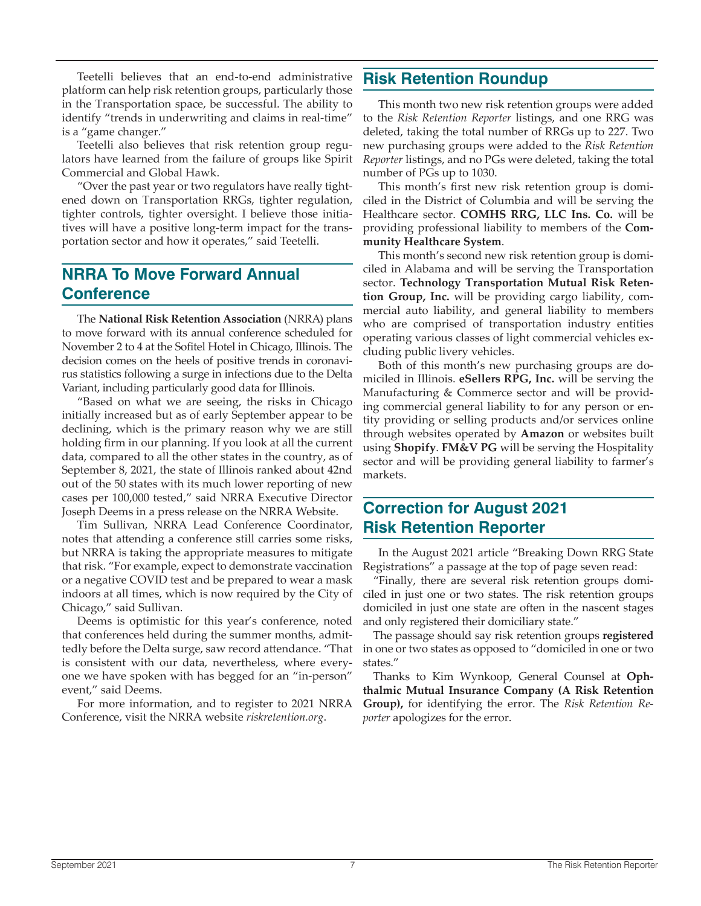Teetelli believes that an end-to-end administrative platform can help risk retention groups, particularly those in the Transportation space, be successful. The ability to identify "trends in underwriting and claims in real-time" is a "game changer."

Teetelli also believes that risk retention group regulators have learned from the failure of groups like Spirit Commercial and Global Hawk.

"Over the past year or two regulators have really tightened down on Transportation RRGs, tighter regulation, tighter controls, tighter oversight. I believe those initiatives will have a positive long-term impact for the transportation sector and how it operates," said Teetelli.

#### **NRRA To Move Forward Annual Conference**

The **National Risk Retention Association** (NRRA) plans to move forward with its annual conference scheduled for November 2 to 4 at the Sofitel Hotel in Chicago, Illinois. The decision comes on the heels of positive trends in coronavirus statistics following a surge in infections due to the Delta Variant, including particularly good data for Illinois.

"Based on what we are seeing, the risks in Chicago initially increased but as of early September appear to be declining, which is the primary reason why we are still holding firm in our planning. If you look at all the current data, compared to all the other states in the country, as of September 8, 2021, the state of Illinois ranked about 42nd out of the 50 states with its much lower reporting of new cases per 100,000 tested," said NRRA Executive Director Joseph Deems in a press release on the NRRA Website.

Tim Sullivan, NRRA Lead Conference Coordinator, notes that attending a conference still carries some risks, but NRRA is taking the appropriate measures to mitigate that risk. "For example, expect to demonstrate vaccination or a negative COVID test and be prepared to wear a mask indoors at all times, which is now required by the City of Chicago," said Sullivan.

Deems is optimistic for this year's conference, noted that conferences held during the summer months, admittedly before the Delta surge, saw record attendance. "That is consistent with our data, nevertheless, where everyone we have spoken with has begged for an "in-person" event," said Deems.

For more information, and to register to 2021 NRRA Conference, visit the NRRA website *riskretention.org*.

#### **Risk Retention Roundup**

This month two new risk retention groups were added to the *Risk Retention Reporter* listings, and one RRG was deleted, taking the total number of RRGs up to 227. Two new purchasing groups were added to the *Risk Retention Reporter* listings, and no PGs were deleted, taking the total number of PGs up to 1030.

This month's first new risk retention group is domiciled in the District of Columbia and will be serving the Healthcare sector. **COMHS RRG, LLC Ins. Co.** will be providing professional liability to members of the **Community Healthcare System**.

This month's second new risk retention group is domiciled in Alabama and will be serving the Transportation sector. **Technology Transportation Mutual Risk Retention Group, Inc.** will be providing cargo liability, commercial auto liability, and general liability to members who are comprised of transportation industry entities operating various classes of light commercial vehicles excluding public livery vehicles.

Both of this month's new purchasing groups are domiciled in Illinois. **eSellers RPG, Inc.** will be serving the Manufacturing & Commerce sector and will be providing commercial general liability to for any person or entity providing or selling products and/or services online through websites operated by **Amazon** or websites built using **Shopify**. **FM&V PG** will be serving the Hospitality sector and will be providing general liability to farmer's markets.

#### **Correction for August 2021 Risk Retention Reporter**

In the August 2021 article "Breaking Down RRG State Registrations" a passage at the top of page seven read:

"Finally, there are several risk retention groups domiciled in just one or two states. The risk retention groups domiciled in just one state are often in the nascent stages and only registered their domiciliary state."

The passage should say risk retention groups **registered**  in one or two states as opposed to "domiciled in one or two states."

Thanks to Kim Wynkoop, General Counsel at **Ophthalmic Mutual Insurance Company (A Risk Retention Group),** for identifying the error. The *Risk Retention Reporter* apologizes for the error.